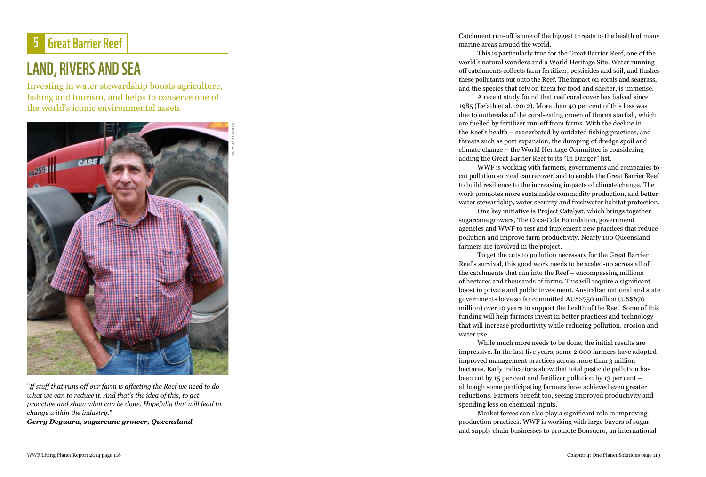## 5 Great Barrier Reef

## LAND, RIVERS AND SE I

Investing in water stewardship boosts agriculture, fishing and tourism, and helps to conserve one of the world's iconic environmental assets



*"If stuff that runs off our farm is affecting the Reef we need to do what we can to reduce it. And that's the idea of this, to get proactive and show what can be done. Hopefully that will lead to change within the industry."* 

*Gerry Deguara, sugarcane grower, Queensland*

Catchment run-off is one of the biggest threats to the health of many marine areas around the world.

This is particularly true for the Great Barrier Reef, one of the world's natural wonders and a World Heritage Site. Water running off catchments collects farm fertilizer, pesticides and soil, and flushes these pollutants out onto the Reef. The impact on corals and seagrass, and the species that rely on them for food and shelter, is immense.

A recent study found that reef coral cover has halved since 1985 (De'ath et al., 2012). More than 40 per cent of this loss was due to outbreaks of the coral-eating crown of thorns starfish, which are fuelled by fertilizer run-off from farms. With the decline in the Reef's health – exacerbated by outdated fishing practices, and threats such as port expansion, the dumping of dredge spoil and climate change – the World Heritage Committee is considering adding the Great Barrier Reef to its "In Danger" list.

WWF is working with farmers, governments and companies to cut pollution so coral can recover, and to enable the Great Barrier Reef to build resilience to the increasing impacts of climate change. The work promotes more sustainable commodity production, and better water stewardship, water security and freshwater habitat protection.

One key initiative is Project Catalyst, which brings together sugarcane growers, The Coca-Cola Foundation, government agencies and WWF to test and implement new practices that reduce pollution and improve farm productivity. Nearly 100 Queensland farmers are involved in the project.

To get the cuts to pollution necessary for the Great Barrier Reef's survival, this good work needs to be scaled-up across all of the catchments that run into the Reef – encompassing millions of hectares and thousands of farms. This will require a significant boost in private and public investment. Australian national and state governments have so far committed AUS\$750 million (US\$670 million) over 10 years to support the health of the Reef. Some of this funding will help farmers invest in better practices and technology that will increase productivity while reducing pollution, erosion and water use.

While much more needs to be done, the initial results are impressive. In the last five years, some 2,000 farmers have adopted improved management practices across more than 3 million hectares. Early indications show that total pesticide pollution has been cut by 15 per cent and fertilizer pollution by 13 per cent – although some participating farmers have achieved even greater reductions. Farmers benefit too, seeing improved productivity and spending less on chemical inputs.

Market forces can also play a significant role in improving production practices. WWF is working with large buyers of sugar and supply chain businesses to promote Bonsucro, an international